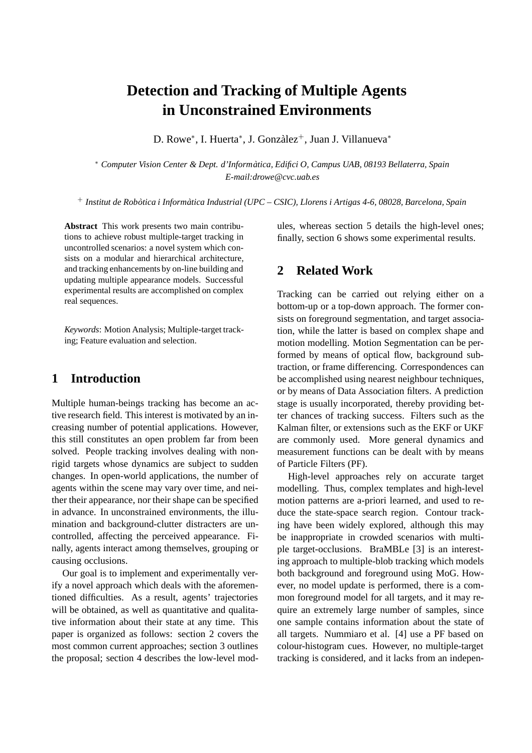# **Detection and Tracking of Multiple Agents in Unconstrained Environments**

D. Rowe<sup>∗</sup>, I. Huerta<sup>∗</sup>, J. Gonzàlez<sup>+</sup>, Juan J. Villanueva<sup>∗</sup>

<sup>∗</sup> *Computer Vision Center & Dept. d'Informatica, Edifici O, Campus UAB, 08193 Bellaterra, Spain ` E-mail:drowe@cvc.uab.es*

<sup>+</sup> *Institut de Robotica i Inform ` atica Industrial (UPC – CSIC), Llorens i Artigas 4-6, 08028, Barcelona, Spain `*

**Abstract** This work presents two main contributions to achieve robust multiple-target tracking in uncontrolled scenarios: a novel system which consists on a modular and hierarchical architecture, and tracking enhancements by on-line building and updating multiple appearance models. Successful experimental results are accomplished on complex real sequences.

*Keywords*: Motion Analysis; Multiple-target tracking; Feature evaluation and selection.

## **1 Introduction**

Multiple human-beings tracking has become an active research field. This interest is motivated by an increasing number of potential applications. However, this still constitutes an open problem far from been solved. People tracking involves dealing with nonrigid targets whose dynamics are subject to sudden changes. In open-world applications, the number of agents within the scene may vary over time, and neither their appearance, nor their shape can be specified in advance. In unconstrained environments, the illumination and background-clutter distracters are uncontrolled, affecting the perceived appearance. Finally, agents interact among themselves, grouping or causing occlusions.

Our goal is to implement and experimentally verify a novel approach which deals with the aforementioned difficulties. As a result, agents' trajectories will be obtained, as well as quantitative and qualitative information about their state at any time. This paper is organized as follows: section 2 covers the most common current approaches; section 3 outlines the proposal; section 4 describes the low-level modules, whereas section 5 details the high-level ones; finally, section 6 shows some experimental results.

## **2 Related Work**

Tracking can be carried out relying either on a bottom-up or a top-down approach. The former consists on foreground segmentation, and target association, while the latter is based on complex shape and motion modelling. Motion Segmentation can be performed by means of optical flow, background subtraction, or frame differencing. Correspondences can be accomplished using nearest neighbour techniques, or by means of Data Association filters. A prediction stage is usually incorporated, thereby providing better chances of tracking success. Filters such as the Kalman filter, or extensions such as the EKF or UKF are commonly used. More general dynamics and measurement functions can be dealt with by means of Particle Filters (PF).

High-level approaches rely on accurate target modelling. Thus, complex templates and high-level motion patterns are a-priori learned, and used to reduce the state-space search region. Contour tracking have been widely explored, although this may be inappropriate in crowded scenarios with multiple target-occlusions. BraMBLe [3] is an interesting approach to multiple-blob tracking which models both background and foreground using MoG. However, no model update is performed, there is a common foreground model for all targets, and it may require an extremely large number of samples, since one sample contains information about the state of all targets. Nummiaro et al. [4] use a PF based on colour-histogram cues. However, no multiple-target tracking is considered, and it lacks from an indepen-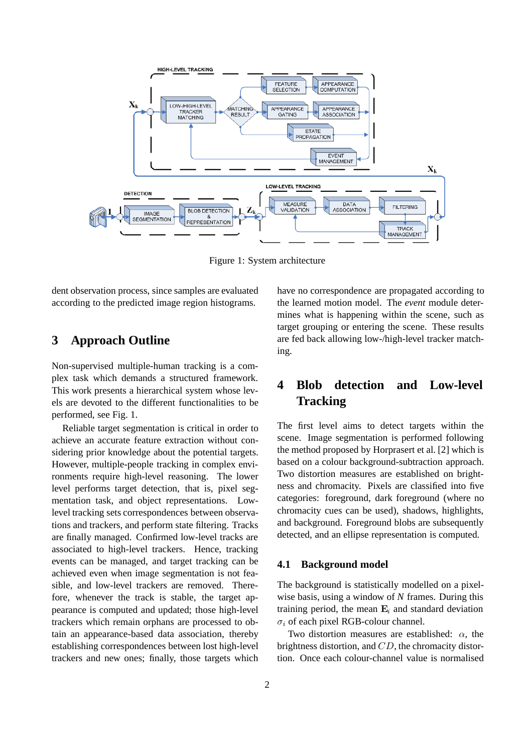

Figure 1: System architecture

dent observation process, since samples are evaluated according to the predicted image region histograms.

## **3 Approach Outline**

Non-supervised multiple-human tracking is a complex task which demands a structured framework. This work presents a hierarchical system whose levels are devoted to the different functionalities to be performed, see Fig. 1.

Reliable target segmentation is critical in order to achieve an accurate feature extraction without considering prior knowledge about the potential targets. However, multiple-people tracking in complex environments require high-level reasoning. The lower level performs target detection, that is, pixel segmentation task, and object representations. Lowlevel tracking sets correspondences between observations and trackers, and perform state filtering. Tracks are finally managed. Confirmed low-level tracks are associated to high-level trackers. Hence, tracking events can be managed, and target tracking can be achieved even when image segmentation is not feasible, and low-level trackers are removed. Therefore, whenever the track is stable, the target appearance is computed and updated; those high-level trackers which remain orphans are processed to obtain an appearance-based data association, thereby establishing correspondences between lost high-level trackers and new ones; finally, those targets which

have no correspondence are propagated according to the learned motion model. The *event* module determines what is happening within the scene, such as target grouping or entering the scene. These results are fed back allowing low-/high-level tracker matching.

## **4 Blob detection and Low-level Tracking**

The first level aims to detect targets within the scene. Image segmentation is performed following the method proposed by Horprasert et al. [2] which is based on a colour background-subtraction approach. Two distortion measures are established on brightness and chromacity. Pixels are classified into five categories: foreground, dark foreground (where no chromacity cues can be used), shadows, highlights, and background. Foreground blobs are subsequently detected, and an ellipse representation is computed.

### **4.1 Background model**

The background is statistically modelled on a pixelwise basis, using a window of *N* frames. During this training period, the mean  $\mathbf{E}_i$  and standard deviation  $\sigma_i$  of each pixel RGB-colour channel.

Two distortion measures are established:  $\alpha$ , the brightness distortion, and CD, the chromacity distortion. Once each colour-channel value is normalised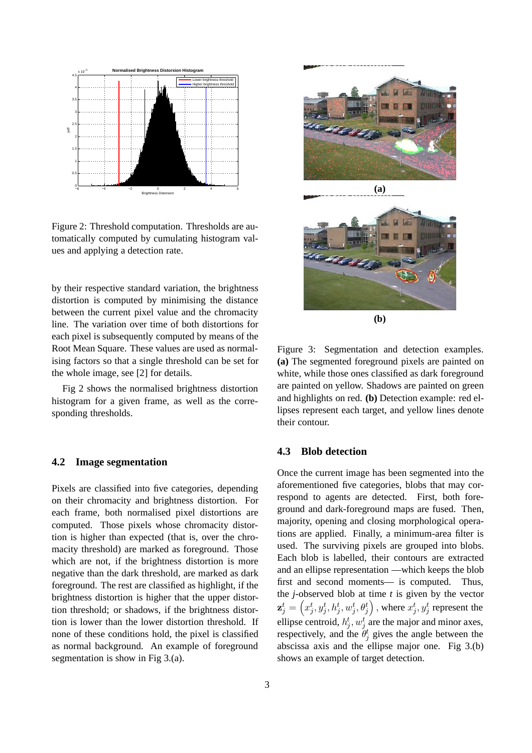

Figure 2: Threshold computation. Thresholds are automatically computed by cumulating histogram values and applying a detection rate.

by their respective standard variation, the brightness distortion is computed by minimising the distance between the current pixel value and the chromacity line. The variation over time of both distortions for each pixel is subsequently computed by means of the Root Mean Square. These values are used as normalising factors so that a single threshold can be set for the whole image, see [2] for details.

Fig 2 shows the normalised brightness distortion histogram for a given frame, as well as the corresponding thresholds.

### **4.2 Image segmentation**

Pixels are classified into five categories, depending on their chromacity and brightness distortion. For each frame, both normalised pixel distortions are computed. Those pixels whose chromacity distortion is higher than expected (that is, over the chromacity threshold) are marked as foreground. Those which are not, if the brightness distortion is more negative than the dark threshold, are marked as dark foreground. The rest are classified as highlight, if the brightness distortion is higher that the upper distortion threshold; or shadows, if the brightness distortion is lower than the lower distortion threshold. If none of these conditions hold, the pixel is classified as normal background. An example of foreground segmentation is show in Fig 3.(a).



Figure 3: Segmentation and detection examples. **(a)** The segmented foreground pixels are painted on white, while those ones classified as dark foreground are painted on yellow. Shadows are painted on green and highlights on red. **(b)** Detection example: red ellipses represent each target, and yellow lines denote their contour.

### **4.3 Blob detection**

Once the current image has been segmented into the aforementioned five categories, blobs that may correspond to agents are detected. First, both foreground and dark-foreground maps are fused. Then, majority, opening and closing morphological operations are applied. Finally, a minimum-area filter is used. The surviving pixels are grouped into blobs. Each blob is labelled, their contours are extracted and an ellipse representation —which keeps the blob first and second moments— is computed. Thus, the *j*-observed blob at time *t* is given by the vector  $\mathbf{z}^t_j =$  $\left(x_j^t, y_j^t, h_j^t, w_j^t, \theta_j^t\right)$ , where  $x_j^t, y_j^t$  represent the ellipse centroid,  $h_j^t$ ,  $w_j^t$  are the major and minor axes, respectively, and the  $\hat{\theta}^t_j$  gives the angle between the abscissa axis and the ellipse major one. Fig 3.(b) shows an example of target detection.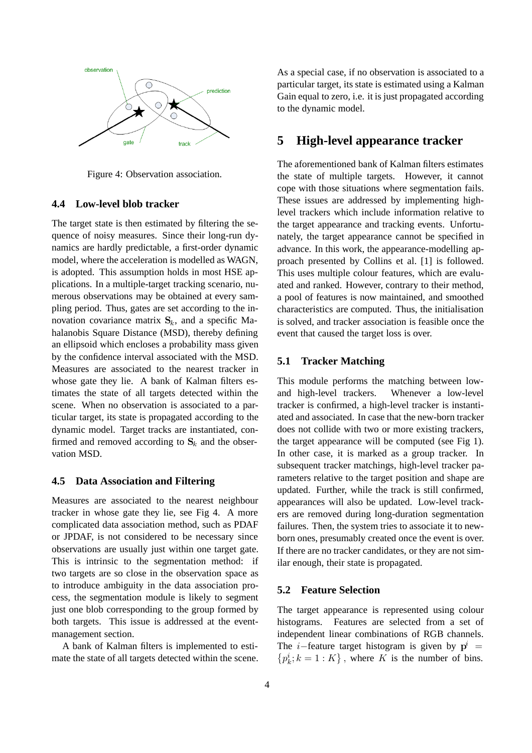

Figure 4: Observation association.

## **4.4 Low-level blob tracker**

The target state is then estimated by filtering the sequence of noisy measures. Since their long-run dynamics are hardly predictable, a first-order dynamic model, where the acceleration is modelled as WAGN, is adopted. This assumption holds in most HSE applications. In a multiple-target tracking scenario, numerous observations may be obtained at every sampling period. Thus, gates are set according to the innovation covariance matrix  $S_k$ , and a specific Mahalanobis Square Distance (MSD), thereby defining an ellipsoid which encloses a probability mass given by the confidence interval associated with the MSD. Measures are associated to the nearest tracker in whose gate they lie. A bank of Kalman filters estimates the state of all targets detected within the scene. When no observation is associated to a particular target, its state is propagated according to the dynamic model. Target tracks are instantiated, confirmed and removed according to  $S_k$  and the observation MSD.

### **4.5 Data Association and Filtering**

Measures are associated to the nearest neighbour tracker in whose gate they lie, see Fig 4. A more complicated data association method, such as PDAF or JPDAF, is not considered to be necessary since observations are usually just within one target gate. This is intrinsic to the segmentation method: if two targets are so close in the observation space as to introduce ambiguity in the data association process, the segmentation module is likely to segment just one blob corresponding to the group formed by both targets. This issue is addressed at the eventmanagement section.

A bank of Kalman filters is implemented to estimate the state of all targets detected within the scene. As a special case, if no observation is associated to a particular target, its state is estimated using a Kalman Gain equal to zero, i.e. it is just propagated according to the dynamic model.

## **5 High-level appearance tracker**

The aforementioned bank of Kalman filters estimates the state of multiple targets. However, it cannot cope with those situations where segmentation fails. These issues are addressed by implementing highlevel trackers which include information relative to the target appearance and tracking events. Unfortunately, the target appearance cannot be specified in advance. In this work, the appearance-modelling approach presented by Collins et al. [1] is followed. This uses multiple colour features, which are evaluated and ranked. However, contrary to their method, a pool of features is now maintained, and smoothed characteristics are computed. Thus, the initialisation is solved, and tracker association is feasible once the event that caused the target loss is over.

### **5.1 Tracker Matching**

This module performs the matching between lowand high-level trackers. Whenever a low-level tracker is confirmed, a high-level tracker is instantiated and associated. In case that the new-born tracker does not collide with two or more existing trackers, the target appearance will be computed (see Fig 1). In other case, it is marked as a group tracker. In subsequent tracker matchings, high-level tracker parameters relative to the target position and shape are updated. Further, while the track is still confirmed, appearances will also be updated. Low-level trackers are removed during long-duration segmentation failures. Then, the system tries to associate it to newborn ones, presumably created once the event is over. If there are no tracker candidates, or they are not similar enough, their state is propagated.

### **5.2 Feature Selection**

The target appearance is represented using colour histograms. Features are selected from a set of independent linear combinations of RGB channels. The *i*−feature target histogram is given by  $p^i = {p^i_k; k = 1 : K}$ , where K is the number of bins.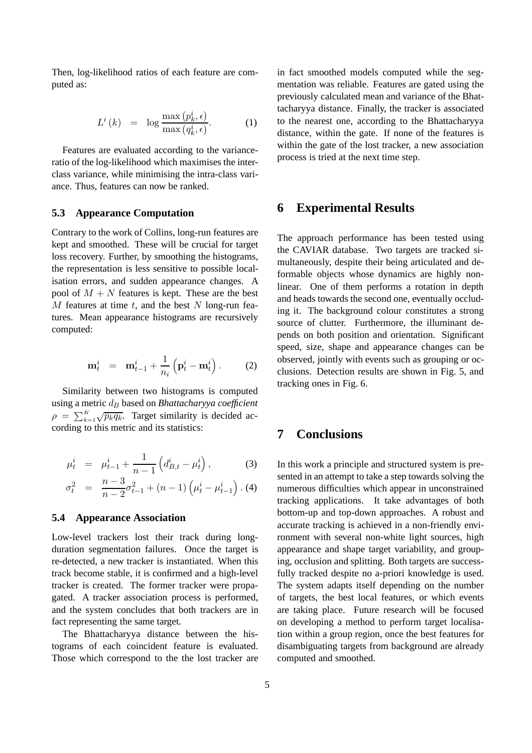Then, log-likelihood ratios of each feature are computed as:

$$
L^{i}(k) = \log \frac{\max (p_{k}^{i}, \epsilon)}{\max (q_{k}^{i}, \epsilon)}.
$$
 (1)

Features are evaluated according to the varianceratio of the log-likelihood which maximises the interclass variance, while minimising the intra-class variance. Thus, features can now be ranked.

### **5.3 Appearance Computation**

Contrary to the work of Collins, long-run features are kept and smoothed. These will be crucial for target loss recovery. Further, by smoothing the histograms, the representation is less sensitive to possible localisation errors, and sudden appearance changes. A pool of  $M + N$  features is kept. These are the best  $M$  features at time  $t$ , and the best  $N$  long-run features. Mean appearance histograms are recursively computed:

$$
\mathbf{m}_t^i = \mathbf{m}_{t-1}^i + \frac{1}{n_i} \left( \mathbf{p}_t^i - \mathbf{m}_t^i \right). \tag{2}
$$

Similarity between two histograms is computed using a metric d*<sup>B</sup>* based on *Bhattacharyya coefficient*  $\rho = \sum_{k=1}^{K} \sqrt{p_k q_k}$ . Target similarity is decided according to this metric and its statistics. cording to this metric and its statistics:

$$
\mu_t^i = \mu_{t-1}^i + \frac{1}{n-1} \left( d_{B,t}^i - \mu_t^i \right), \tag{3}
$$

$$
\sigma_t^2 = \frac{n-3}{n-2}\sigma_{t-1}^2 + (n-1)\left(\mu_t^i - \mu_{t-1}^i\right). (4)
$$

#### **5.4 Appearance Association**

Low-level trackers lost their track during longduration segmentation failures. Once the target is re-detected, a new tracker is instantiated. When this track become stable, it is confirmed and a high-level tracker is created. The former tracker were propagated. A tracker association process is performed, and the system concludes that both trackers are in fact representing the same target.

The Bhattacharyya distance between the histograms of each coincident feature is evaluated. Those which correspond to the the lost tracker are in fact smoothed models computed while the segmentation was reliable. Features are gated using the previously calculated mean and variance of the Bhattacharyya distance. Finally, the tracker is associated to the nearest one, according to the Bhattacharyya distance, within the gate. If none of the features is within the gate of the lost tracker, a new association process is tried at the next time step.

## **6 Experimental Results**

The approach performance has been tested using the CAVIAR database. Two targets are tracked simultaneously, despite their being articulated and deformable objects whose dynamics are highly nonlinear. One of them performs a rotation in depth and heads towards the second one, eventually occluding it. The background colour constitutes a strong source of clutter. Furthermore, the illuminant depends on both position and orientation. Significant speed, size, shape and appearance changes can be observed, jointly with events such as grouping or occlusions. Detection results are shown in Fig. 5, and tracking ones in Fig. 6.

## **7 Conclusions**

In this work a principle and structured system is presented in an attempt to take a step towards solving the numerous difficulties which appear in unconstrained tracking applications. It take advantages of both bottom-up and top-down approaches. A robust and accurate tracking is achieved in a non-friendly environment with several non-white light sources, high appearance and shape target variability, and grouping, occlusion and splitting. Both targets are successfully tracked despite no a-priori knowledge is used. The system adapts itself depending on the number of targets, the best local features, or which events are taking place. Future research will be focused on developing a method to perform target localisation within a group region, once the best features for disambiguating targets from background are already computed and smoothed.